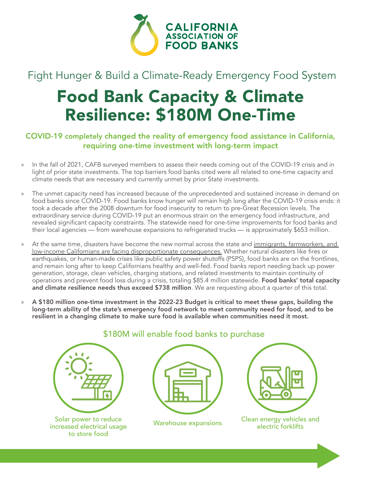

## Fight Hunger & Build a Climate-Ready Emergency Food System

## Food Bank Capacity & Climate Resilience: \$180M One-Time

## COVID-19 completely changed the reality of emergency food assistance in California, requiring one-time investment with long-term impact

- In the fall of 2021, CAFB surveyed members to assess their needs coming out of the COVID-19 crisis and in light of prior state investments. The top barriers food banks cited were all related to one-time capacity and climate needs that are necessary and currently unmet by prior State investments.
- » The unmet capacity need has increased because of the unprecedented and sustained increase in demand on food banks since COVID-19. Food banks know hunger will remain high long after the COVID-19 crisis ends: it took a decade after the 2008 downturn for food insecurity to return to pre-Great Recession levels. The extraordinary service during COVID-19 put an enormous strain on the emergency food infrastructure, and revealed significant capacity constraints. The statewide need for one-time improvements for food banks and their local agencies — from warehouse expansions to refrigerated trucks — is approximately \$653 million.
- » At the same time, disasters have become the new normal across the state and [immigrants, farmworkers, and](https://www.csusm.edu/nlrc/documents/report_archives/nlrc-wildfires-report-2007-rev.pdf) low-income Californians [are facing disproportionate consequences.](https://www.csusm.edu/nlrc/documents/report_archives/nlrc-wildfires-report-2007-rev.pdf) Whether natural disasters like fires or earthquakes, or human-made crises like public safety power shutoffs (PSPS), food banks are on the frontlines, and remain long after to keep Californians healthy and well-fed. Food banks report needing back up power generation, storage, clean vehicles, charging stations, and related investments to maintain continuity of operations and prevent food loss during a crisis, totaling \$85.4 million statewide. Food banks' total capacity and climate resilience needs thus exceed \$738 million. We are requesting about a quarter of this total.
- » A \$180 million one-time investment in the 2022-23 Budget is critical to meet these gaps, building the long-term ability of the state's emergency food network to meet community need for food, and to be resilient in a changing climate to make sure food is available when communities need it most.



Solar power to reduce increased electrical usage to store food

## \$180M will enable food banks to purchase

| п<br>m. |  |
|---------|--|
|         |  |



Warehouse expansions Clean energy vehicles and electric forklifts